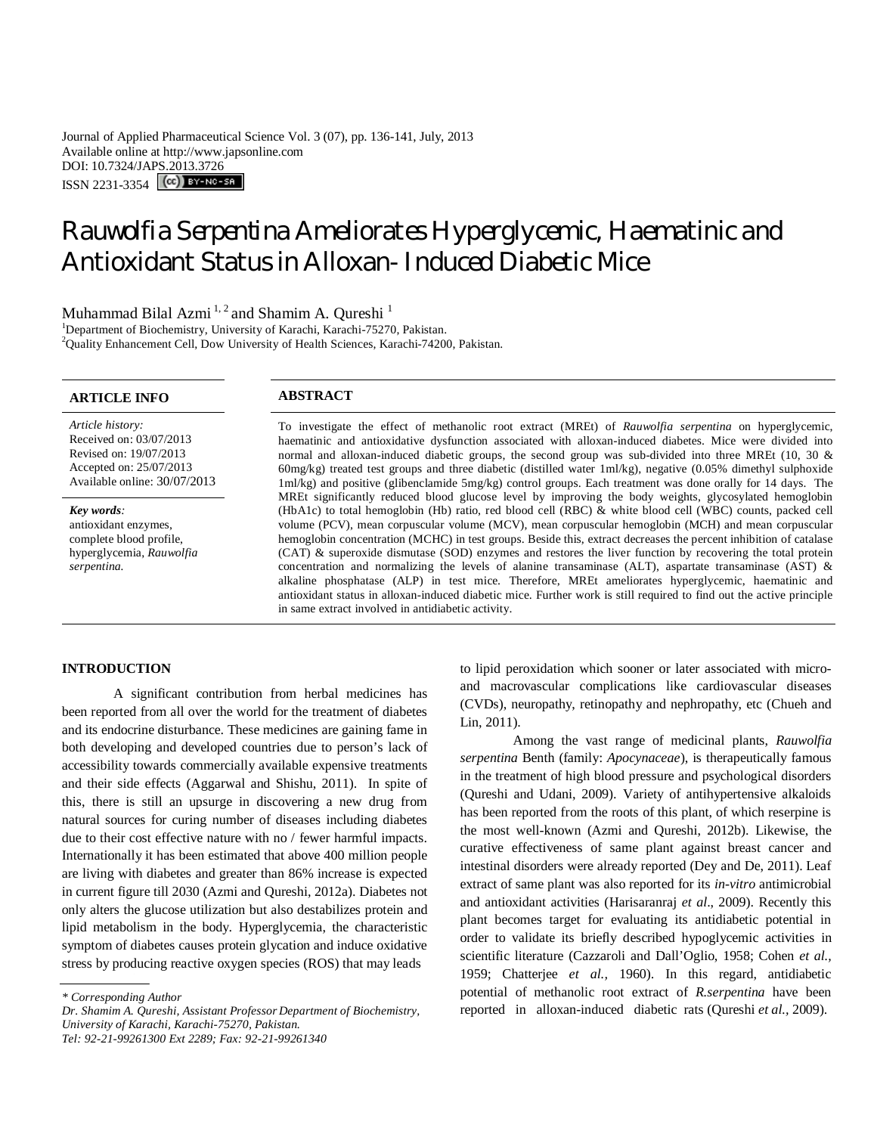Journal of Applied Pharmaceutical Science Vol. 3 (07), pp. 136-141, July, 2013 Available online at http://www.japsonline.com DOI: 10.7324/JAPS.2013.3726 ISSN 2231-3354 (CC) BY-NO-SA

# *Rauwolfia Serpentina* Ameliorates Hyperglycemic, Haematinic and Antioxidant Status in Alloxan- Induced Diabetic Mice

Muhammad Bilal Azmi<sup>1, 2</sup> and Shamim A. Qureshi<sup>1</sup>

<sup>1</sup>Department of Biochemistry, University of Karachi, Karachi-75270, Pakistan. <sup>2</sup>Quality Enhancement Cell, Dow University of Health Sciences, Karachi-74200, Pakistan.

# **ARTICLE INFO ABSTRACT**

*Article history:* Received on: 03/07/2013 Revised on: 19/07/2013 Accepted on: 25/07/2013 Available online: 30/07/2013

*Key words:*  antioxidant enzymes, complete blood profile, hyperglycemia, *Rauwolfia serpentina.*

To investigate the effect of methanolic root extract (MREt) of *Rauwolfia serpentina* on hyperglycemic, haematinic and antioxidative dysfunction associated with alloxan-induced diabetes. Mice were divided into normal and alloxan**-**induced diabetic groups, the second group was sub-divided into three MREt (10, 30 & 60mg/kg) treated test groups and three diabetic (distilled water 1ml/kg), negative (0.05% dimethyl sulphoxide 1ml/kg) and positive (glibenclamide 5mg/kg) control groups. Each treatment was done orally for 14 days. The MREt significantly reduced blood glucose level by improving the body weights, glycosylated hemoglobin (HbA1c) to total hemoglobin (Hb) ratio, red blood cell (RBC) & white blood cell (WBC) counts, packed cell volume (PCV), mean corpuscular volume (MCV), mean corpuscular hemoglobin (MCH) and mean corpuscular hemoglobin concentration (MCHC) in test groups. Beside this, extract decreases the percent inhibition of catalase (CAT) & superoxide dismutase (SOD) enzymes and restores the liver function by recovering the total protein concentration and normalizing the levels of alanine transaminase (ALT), aspartate transaminase (AST)  $\&$ alkaline phosphatase (ALP) in test mice. Therefore, MREt ameliorates hyperglycemic, haematinic and antioxidant status in alloxan-induced diabetic mice. Further work is still required to find out the active principle in same extract involved in antidiabetic activity.

# **INTRODUCTION**

A significant contribution from herbal medicines has been reported from all over the world for the treatment of diabetes and its endocrine disturbance. These medicines are gaining fame in both developing and developed countries due to person's lack of accessibility towards commercially available expensive treatments and their side effects (Aggarwal and Shishu, 2011). In spite of this, there is still an upsurge in discovering a new drug from natural sources for curing number of diseases including diabetes due to their cost effective nature with no / fewer harmful impacts. Internationally it has been estimated that above 400 million people are living with diabetes and greater than 86% increase is expected in current figure till 2030 (Azmi and Qureshi, 2012a). Diabetes not only alters the glucose utilization but also destabilizes protein and lipid metabolism in the body. Hyperglycemia, the characteristic symptom of diabetes causes protein glycation and induce oxidative stress by producing reactive oxygen species (ROS) that may leads

*Dr. Shamim A. Qureshi, Assistant Professor Department of Biochemistry, University of Karachi, Karachi-75270, Pakistan. Tel: 92-21-99261300 Ext 2289; Fax: 92-21-99261340*

to lipid peroxidation which sooner or later associated with microand macrovascular complications like cardiovascular diseases (CVDs), neuropathy, retinopathy and nephropathy, etc (Chueh and Lin, 2011).

Among the vast range of medicinal plants, *Rauwolfia serpentina* Benth (family: *Apocynaceae*), is therapeutically famous in the treatment of high blood pressure and psychological disorders (Qureshi and Udani, 2009). Variety of antihypertensive alkaloids has been reported from the roots of this plant, of which reserpine is the most well-known (Azmi and Qureshi, 2012b). Likewise, the curative effectiveness of same plant against breast cancer and intestinal disorders were already reported (Dey and De, 2011). Leaf extract of same plant was also reported for its *in-vitro* antimicrobial and antioxidant activities (Harisaranraj *et al*., 2009). Recently this plant becomes target for evaluating its antidiabetic potential in order to validate its briefly described hypoglycemic activities in scientific literature (Cazzaroli and Dall'Oglio, 1958; Cohen *et al.,*  1959; Chatterjee *et al.,* 1960). In this regard, antidiabetic potential of methanolic root extract of *R.serpentina* have been reported in alloxan-induced diabetic rats (Qureshi *et al.,* 2009).

*<sup>\*</sup> Corresponding Author*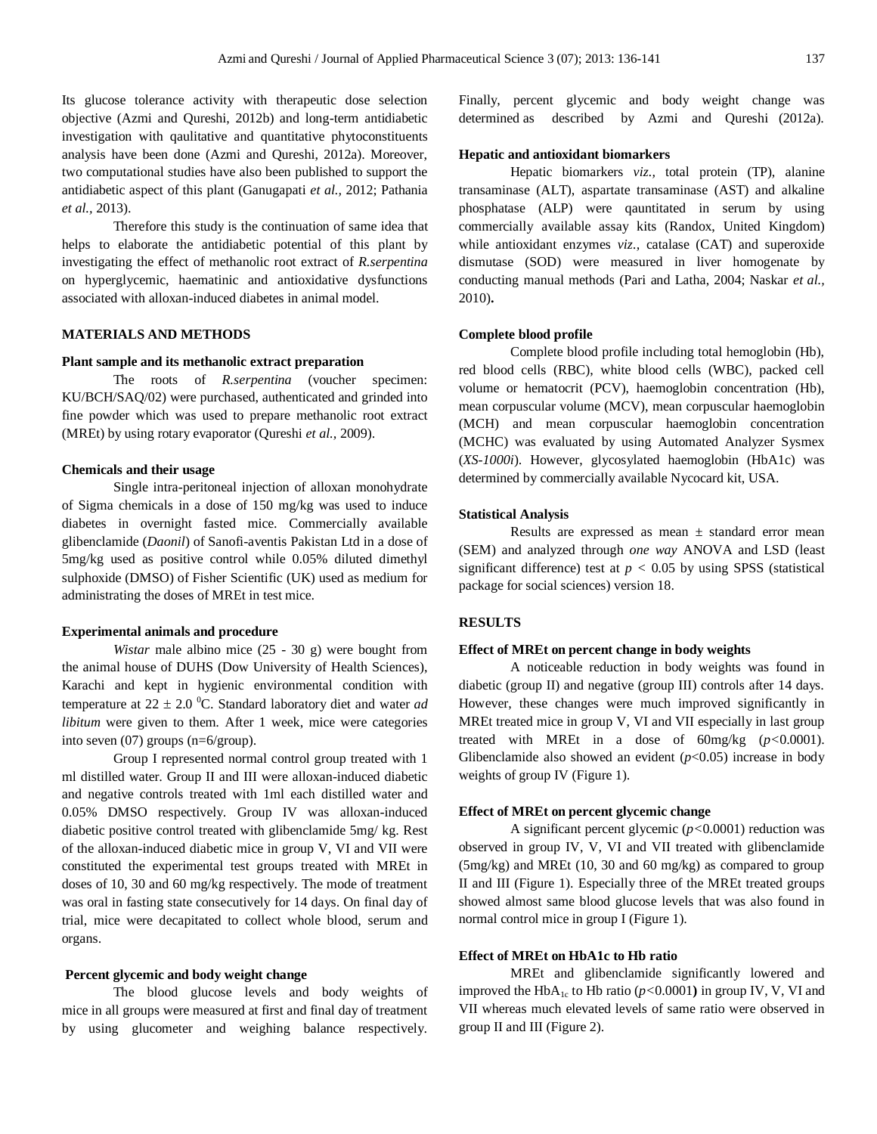Its glucose tolerance activity with therapeutic dose selection objective (Azmi and Qureshi, 2012b) and long-term antidiabetic investigation with qaulitative and quantitative phytoconstituents analysis have been done (Azmi and Qureshi, 2012a). Moreover, two computational studies have also been published to support the antidiabetic aspect of this plant (Ganugapati *et al.,* 2012; Pathania *et al.,* 2013).

Therefore this study is the continuation of same idea that helps to elaborate the antidiabetic potential of this plant by investigating the effect of methanolic root extract of *R.serpentina* on hyperglycemic, haematinic and antioxidative dysfunctions associated with alloxan-induced diabetes in animal model.

# **MATERIALS AND METHODS**

### **Plant sample and its methanolic extract preparation**

The roots of *R.serpentina* (voucher specimen: KU/BCH/SAQ/02) were purchased, authenticated and grinded into fine powder which was used to prepare methanolic root extract (MREt) by using rotary evaporator (Qureshi *et al.,* 2009).

### **Chemicals and their usage**

Single intra-peritoneal injection of alloxan monohydrate of Sigma chemicals in a dose of 150 mg/kg was used to induce diabetes in overnight fasted mice. Commercially available glibenclamide (*Daonil*) of Sanofi-aventis Pakistan Ltd in a dose of 5mg/kg used as positive control while 0.05% diluted dimethyl sulphoxide (DMSO) of Fisher Scientific (UK) used as medium for administrating the doses of MREt in test mice.

# **Experimental animals and procedure**

*Wistar* male albino mice (25 - 30 g) were bought from the animal house of DUHS (Dow University of Health Sciences), Karachi and kept in hygienic environmental condition with temperature at  $22 \pm 2.0$  <sup>0</sup>C. Standard laboratory diet and water *ad libitum* were given to them*.* After 1 week, mice were categories into seven (07) groups (n=6/group).

Group I represented normal control group treated with 1 ml distilled water. Group II and III were alloxan-induced diabetic and negative controls treated with 1ml each distilled water and 0.05% DMSO respectively. Group IV was alloxan-induced diabetic positive control treated with glibenclamide 5mg/ kg. Rest of the alloxan-induced diabetic mice in group V, VI and VII were constituted the experimental test groups treated with MREt in doses of 10, 30 and 60 mg/kg respectively. The mode of treatment was oral in fasting state consecutively for 14 days. On final day of trial, mice were decapitated to collect whole blood, serum and organs.

#### **Percent glycemic and body weight change**

The blood glucose levels and body weights of mice in all groups were measured at first and final day of treatment by using glucometer and weighing balance respectively. Finally, percent glycemic and body weight change was determined as described by Azmi and Qureshi (2012a).

#### **Hepatic and antioxidant biomarkers**

Hepatic biomarkers *viz.,* total protein (TP), alanine transaminase (ALT), aspartate transaminase (AST) and alkaline phosphatase (ALP) were qauntitated in serum by using commercially available assay kits (Randox, United Kingdom) while antioxidant enzymes *viz.,* catalase (CAT) and superoxide dismutase (SOD) were measured in liver homogenate by conducting manual methods (Pari and Latha, 2004; Naskar *et al.,*  2010)**.**

#### **Complete blood profile**

Complete blood profile including total hemoglobin (Hb), red blood cells (RBC), white blood cells (WBC), packed cell volume or hematocrit (PCV), haemoglobin concentration (Hb), mean corpuscular volume (MCV), mean corpuscular haemoglobin (MCH) and mean corpuscular haemoglobin concentration (MCHC) was evaluated by using Automated Analyzer Sysmex (*XS-1000i*). However, glycosylated haemoglobin (HbA1c) was determined by commercially available Nycocard kit, USA.

#### **Statistical Analysis**

Results are expressed as mean *±* standard error mean (SEM) and analyzed through *one way* ANOVA and LSD (least significant difference) test at  $p < 0.05$  by using SPSS (statistical package for social sciences) version 18.

# **RESULTS**

#### **Effect of MREt on percent change in body weights**

A noticeable reduction in body weights was found in diabetic (group II) and negative (group III) controls after 14 days. However, these changes were much improved significantly in MREt treated mice in group V, VI and VII especially in last group treated with MREt in a dose of 60mg/kg (*p<*0.0001). Glibenclamide also showed an evident  $(p<0.05)$  increase in body weights of group IV (Figure 1).

#### **Effect of MREt on percent glycemic change**

A significant percent glycemic (*p<*0.0001) reduction was observed in group IV, V, VI and VII treated with glibenclamide (5mg/kg) and MREt (10, 30 and 60 mg/kg) as compared to group II and III (Figure 1). Especially three of the MREt treated groups showed almost same blood glucose levels that was also found in normal control mice in group I (Figure 1).

#### **Effect of MREt on HbA1c to Hb ratio**

MREt and glibenclamide significantly lowered and improved the HbA<sub>1c</sub> to Hb ratio ( $p$ <0.0001) in group IV, V, VI and VII whereas much elevated levels of same ratio were observed in group II and III (Figure 2).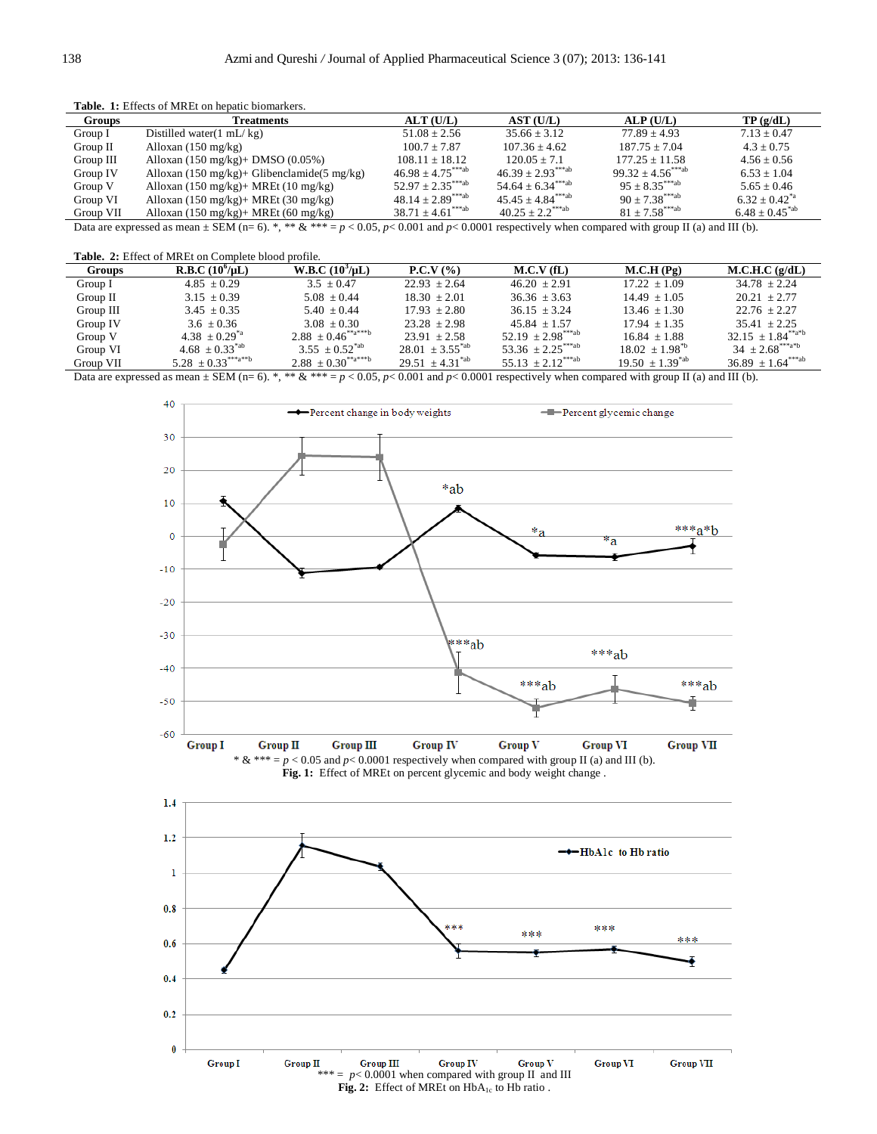**Table. 1:** Effects of MREt on hepatic biomarkers.

| <b>Groups</b>                                                                                                                                           | Treatments                                                        | ALT(U/L)                          | AST (U/L)                         | ALP(U/L)                         | TP(g/dL)                       |  |  |  |
|---------------------------------------------------------------------------------------------------------------------------------------------------------|-------------------------------------------------------------------|-----------------------------------|-----------------------------------|----------------------------------|--------------------------------|--|--|--|
| Group I                                                                                                                                                 | Distilled water $(1 \text{ mL}/ \text{kg})$                       | $51.08 \pm 2.56$                  | $35.66 + 3.12$                    | $77.89 + 4.93$                   | $7.13 + 0.47$                  |  |  |  |
| Group II                                                                                                                                                | Alloxan $(150 \text{ mg/kg})$                                     | $100.7 + 7.87$                    | $107.36 + 4.62$                   | $187.75 + 7.04$                  | $4.3 + 0.75$                   |  |  |  |
| Group III                                                                                                                                               | Alloxan $(150 \text{ mg/kg})$ + DMSO $(0.05\%)$                   | $108.11 \pm 18.12$                | $120.05 + 7.1$                    | $177.25 + 11.58$                 | $4.56 \pm 0.56$                |  |  |  |
| Group IV                                                                                                                                                | Alloxan $(150 \text{ mg/kg})$ + Glibenclamide $(5 \text{ mg/kg})$ | $46.98 + 4.75^{***ab}$            | $46.39 \pm 2.93^{***ab}$          | $99.32 + 4.56^{***ab}$           | $6.53 + 1.04$                  |  |  |  |
| Group V                                                                                                                                                 | Alloxan $(150 \text{ mg/kg})$ + MREt $(10 \text{ mg/kg})$         | $52.97 \pm 2.35$ <sup>***ab</sup> | $54.64 \pm 6.34***$ ab            | $95 + 8.35^{***ab}$              | $5.65 \pm 0.46$                |  |  |  |
| Group VI                                                                                                                                                | Alloxan $(150 \text{ mg/kg})$ + MREt $(30 \text{ mg/kg})$         | $48.14 \pm 2.89$ <sup>***ab</sup> | $45.45 \pm 4.84$ <sup>***ab</sup> | $90 + 7.38***$ <sup>***</sup> ab | $6.32 \pm 0.42$ <sup>*a</sup>  |  |  |  |
| Group VII                                                                                                                                               | Alloxan $(150 \text{ mg/kg})$ + MREt $(60 \text{ mg/kg})$         | $38.71 \pm 4.61^{***ab}$          | $40.25 \pm 2.2$ <sup>***ab</sup>  | $81 + 7.58***$ <sup>***</sup> ab | $6.48 \pm 0.45$ <sup>*ab</sup> |  |  |  |
| Data are expressed as mean $\pm$ SEM (n= 6). *, ** & *** = p < 0.05, p < 0.001 and p < 0.0001 respectively when compared with group II (a) and III (b). |                                                                   |                                   |                                   |                                  |                                |  |  |  |

**Table. 2:** Effect of MREt on Complete blood profile.

| <b>Groups</b>                                                                                                                                                                                                                                                                                                 | <b>R.B.C</b> $(10^9/\mu L)$ | W.B.C. (10 <sup>3</sup> /µL) | <b>P.C.V</b> $(%$    | $M.C.V$ (fL)                      | M.C.H(Pg)            | M.C.H.C.(g/dL)           |  |  |  |
|---------------------------------------------------------------------------------------------------------------------------------------------------------------------------------------------------------------------------------------------------------------------------------------------------------------|-----------------------------|------------------------------|----------------------|-----------------------------------|----------------------|--------------------------|--|--|--|
| Group I                                                                                                                                                                                                                                                                                                       | $4.85 \pm 0.29$             | $3.5 \pm 0.47$               | $22.93 + 2.64$       | $46.20 + 2.91$                    | $17.22 \pm 1.09$     | $34.78 + 2.24$           |  |  |  |
| Group $II$                                                                                                                                                                                                                                                                                                    | $3.15 \pm 0.39$             | $5.08 \pm 0.44$              | $18.30 + 2.01$       | $36.36 \pm 3.63$                  | $14.49 + 1.05$       | $20.21 + 2.77$           |  |  |  |
| Group III                                                                                                                                                                                                                                                                                                     | $3.45 \pm 0.35$             | $5.40 + 0.44$                | $17.93 + 2.80$       | $36.15 + 3.24$                    | $13.46 + 1.30$       | $22.76 + 2.27$           |  |  |  |
| Group IV                                                                                                                                                                                                                                                                                                      | $3.6 \pm 0.36$              | $3.08 + 0.30$                | $23.28 + 2.98$       | $45.84 + 1.57$                    | $17.94 + 1.35$       | $35.41 + 2.25$           |  |  |  |
| Group V                                                                                                                                                                                                                                                                                                       | $4.38 + 0.29^{*}$           | $2.88 \pm 0.46^{**a***b}$    | $23.91 \pm 2.58$     | $52.19 + 2.98^{***ab}$            | $16.84 + 1.88$       | $32.15 + 1.84^{**a*b}$   |  |  |  |
| Group VI                                                                                                                                                                                                                                                                                                      | $4.68 + 0.33^{*ab}$         | $3.55 \pm 0.52^{\text{*ab}}$ | $28.01 + 3.55^{*ab}$ | 53.36 $\pm 2.25$ <sup>***ab</sup> | $18.02 + 1.98^{b}$   | $34 + 2.68^{***a}$       |  |  |  |
| Group VII                                                                                                                                                                                                                                                                                                     | $5.28 \pm 0.33^{***a***b}$  | $2.88 \pm 0.30^{**a***b}$    | $29.51 + 4.31^{*ab}$ | $55.13 \pm 2.12^{***ab}$          | $19.50 + 1.39^{*ab}$ | $36.89 \pm 1.64^{***ab}$ |  |  |  |
| $\mathbf{D}_A$ and $\mathbf{H}_A$ and $\mathbf{H}_B$ and $\mathbf{H}_C$ and $\mathbf{H}_C$ and $\mathbf{H}_C$ and $\mathbf{H}_C$ and $\mathbf{H}_C$ and $\mathbf{H}_C$ and $\mathbf{H}_C$ and $\mathbf{H}_C$ and $\mathbf{H}_C$ and $\mathbf{H}_C$ and $\mathbf{H}_C$ and $\mathbf{H}_C$ and $\mathbf{H}_C$ a |                             |                              |                      |                                   |                      |                          |  |  |  |

Data are expressed as mean  $\pm$  SEM (n= 6). \*, \*\* & \*\*\* = *p* < 0.05, *p*< 0.001 and *p*< 0.0001 respectively when compared with group II (a) and III (b).





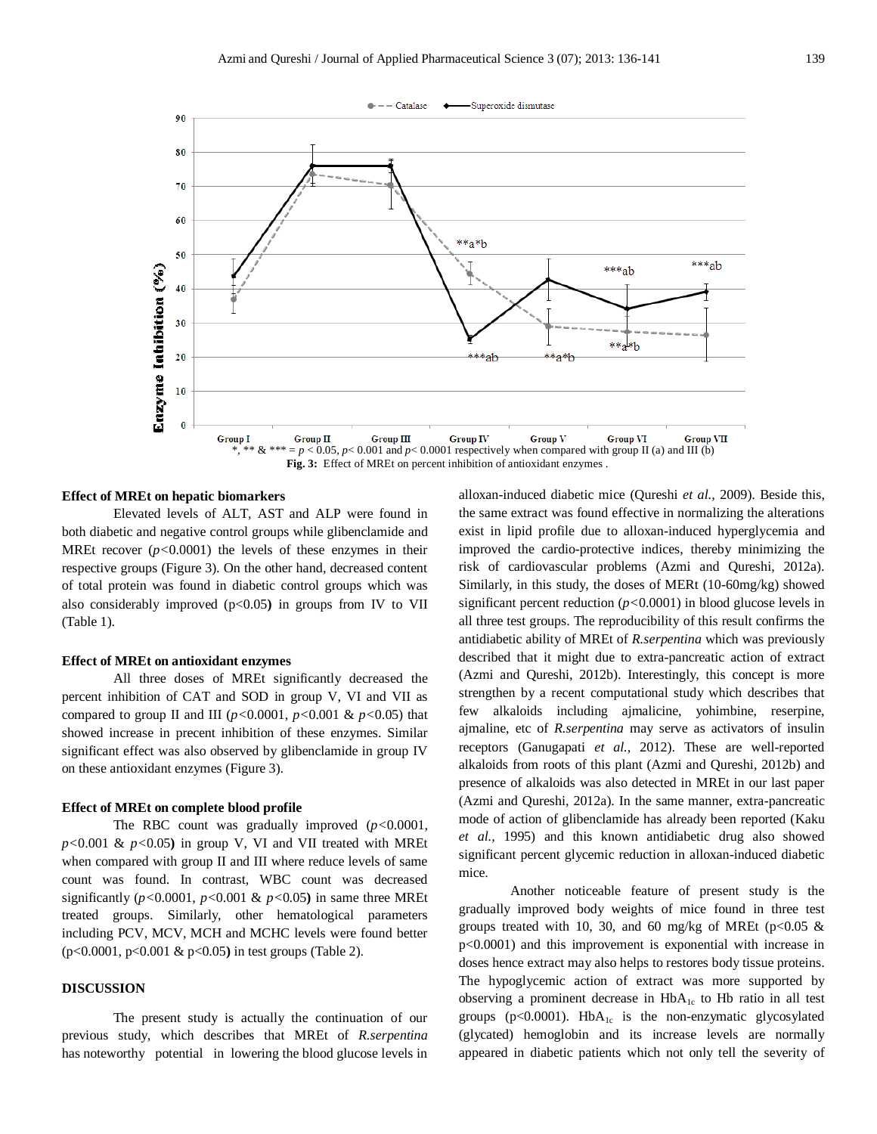

# **Effect of MREt on hepatic biomarkers**

Elevated levels of ALT, AST and ALP were found in both diabetic and negative control groups while glibenclamide and MREt recover  $(p<0.0001)$  the levels of these enzymes in their respective groups (Figure 3). On the other hand, decreased content of total protein was found in diabetic control groups which was also considerably improved (p<0.05**)** in groups from IV to VII (Table 1).

#### **Effect of MREt on antioxidant enzymes**

All three doses of MREt significantly decreased the percent inhibition of CAT and SOD in group V, VI and VII as compared to group II and III  $(p<0.0001, p<0.001 \& p<0.05)$  that showed increase in precent inhibition of these enzymes. Similar significant effect was also observed by glibenclamide in group IV on these antioxidant enzymes (Figure 3).

#### **Effect of MREt on complete blood profile**

The RBC count was gradually improved (*p<*0.0001, *p<*0.001 & *p<*0.05**)** in group V, VI and VII treated with MREt when compared with group II and III where reduce levels of same count was found. In contrast, WBC count was decreased significantly ( $p$ <0.0001,  $p$ <0.001 &  $p$ <0.05) in same three MREt treated groups. Similarly, other hematological parameters including PCV, MCV, MCH and MCHC levels were found better (p<0.0001, p<0.001 & p<0.05**)** in test groups (Table 2).

# **DISCUSSION**

The present study is actually the continuation of our previous study, which describes that MREt of *R.serpentina*  has noteworthy potential in lowering the blood glucose levels in alloxan-induced diabetic mice (Qureshi *et al.,* 2009). Beside this, the same extract was found effective in normalizing the alterations exist in lipid profile due to alloxan-induced hyperglycemia and improved the cardio-protective indices, thereby minimizing the risk of cardiovascular problems (Azmi and Qureshi, 2012a). Similarly, in this study, the doses of MERt (10-60mg/kg) showed significant percent reduction (*p<*0.0001) in blood glucose levels in all three test groups. The reproducibility of this result confirms the antidiabetic ability of MREt of *R.serpentina* which was previously described that it might due to extra-pancreatic action of extract (Azmi and Qureshi, 2012b). Interestingly, this concept is more strengthen by a recent computational study which describes that few alkaloids including ajmalicine, yohimbine, reserpine, ajmaline, etc of *R.serpentina* may serve as activators of insulin receptors (Ganugapati *et al.,* 2012). These are well-reported alkaloids from roots of this plant (Azmi and Qureshi, 2012b) and presence of alkaloids was also detected in MREt in our last paper (Azmi and Qureshi, 2012a). In the same manner, extra-pancreatic mode of action of glibenclamide has already been reported (Kaku *et al.,* 1995) and this known antidiabetic drug also showed significant percent glycemic reduction in alloxan-induced diabetic mice.

Another noticeable feature of present study is the gradually improved body weights of mice found in three test groups treated with 10, 30, and 60 mg/kg of MREt ( $p<0.05$  & p<0.0001) and this improvement is exponential with increase in doses hence extract may also helps to restores body tissue proteins. The hypoglycemic action of extract was more supported by observing a prominent decrease in HbA<sub>1c</sub> to Hb ratio in all test groups ( $p<0.0001$ ). Hb $A_{1c}$  is the non-enzymatic glycosylated (glycated) hemoglobin and its increase levels are normally appeared in diabetic patients which not only tell the severity of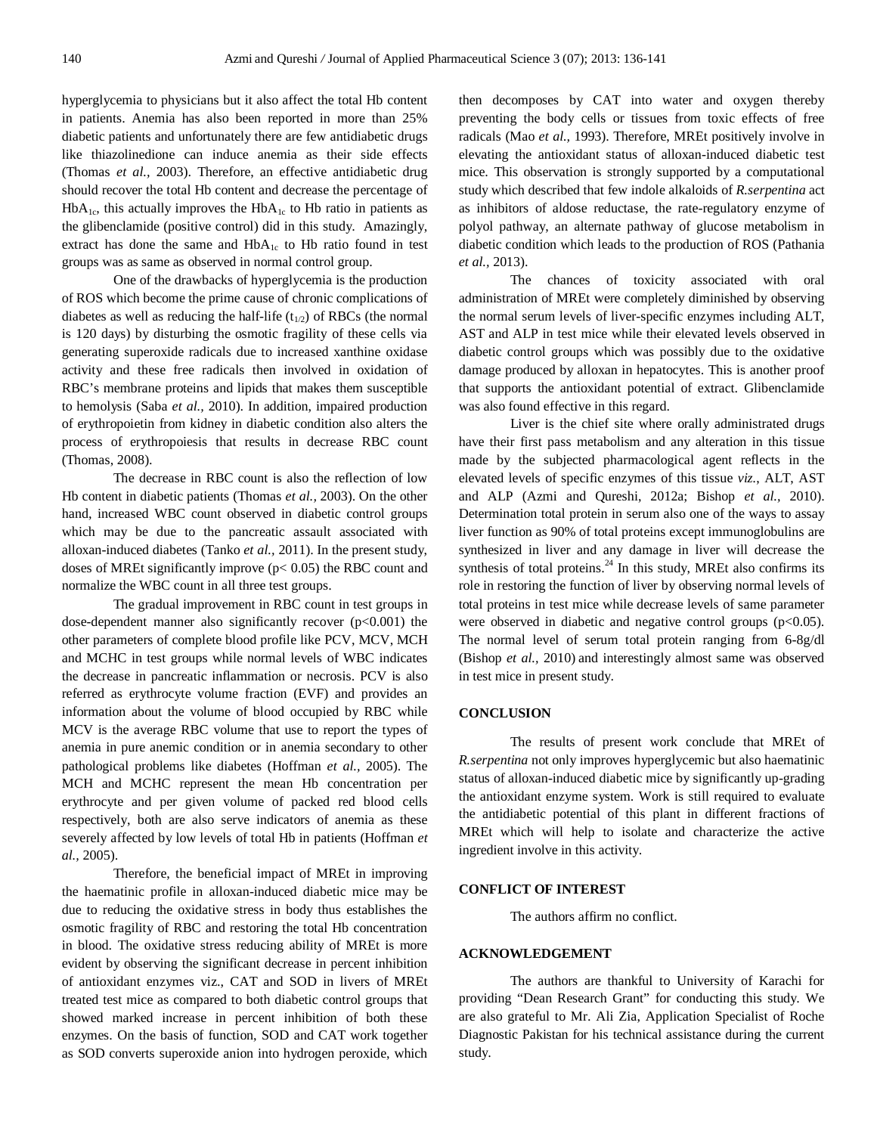hyperglycemia to physicians but it also affect the total Hb content in patients. Anemia has also been reported in more than 25% diabetic patients and unfortunately there are few antidiabetic drugs like thiazolinedione can induce anemia as their side effects (Thomas *et al.,* 2003). Therefore, an effective antidiabetic drug should recover the total Hb content and decrease the percentage of  $HbA<sub>1c</sub>$ , this actually improves the  $HbA<sub>1c</sub>$  to Hb ratio in patients as the glibenclamide (positive control) did in this study. Amazingly, extract has done the same and  $HbA_{1c}$  to Hb ratio found in test groups was as same as observed in normal control group.

One of the drawbacks of hyperglycemia is the production of ROS which become the prime cause of chronic complications of diabetes as well as reducing the half-life  $(t_{1/2})$  of RBCs (the normal is 120 days) by disturbing the osmotic fragility of these cells via generating superoxide radicals due to increased xanthine oxidase activity and these free radicals then involved in oxidation of RBC's membrane proteins and lipids that makes them susceptible to hemolysis (Saba *et al.,* 2010). In addition, impaired production of erythropoietin from kidney in diabetic condition also alters the process of erythropoiesis that results in decrease RBC count (Thomas, 2008).

The decrease in RBC count is also the reflection of low Hb content in diabetic patients (Thomas *et al.,* 2003). On the other hand, increased WBC count observed in diabetic control groups which may be due to the pancreatic assault associated with alloxan-induced diabetes (Tanko *et al.,* 2011). In the present study, doses of MREt significantly improve (p< 0.05) the RBC count and normalize the WBC count in all three test groups.

The gradual improvement in RBC count in test groups in dose-dependent manner also significantly recover  $(p<0.001)$  the other parameters of complete blood profile like PCV, MCV, MCH and MCHC in test groups while normal levels of WBC indicates the decrease in pancreatic inflammation or necrosis. PCV is also referred as erythrocyte volume fraction (EVF) and provides an information about the volume of blood occupied by RBC while MCV is the average RBC volume that use to report the types of anemia in pure anemic condition or in anemia secondary to other pathological problems like diabetes (Hoffman *et al.,* 2005). The MCH and MCHC represent the mean Hb concentration per erythrocyte and per given volume of packed red blood cells respectively, both are also serve indicators of anemia as these severely affected by low levels of total Hb in patients (Hoffman *et al.,* 2005).

Therefore, the beneficial impact of MREt in improving the haematinic profile in alloxan-induced diabetic mice may be due to reducing the oxidative stress in body thus establishes the osmotic fragility of RBC and restoring the total Hb concentration in blood. The oxidative stress reducing ability of MREt is more evident by observing the significant decrease in percent inhibition of antioxidant enzymes viz., CAT and SOD in livers of MREt treated test mice as compared to both diabetic control groups that showed marked increase in percent inhibition of both these enzymes. On the basis of function, SOD and CAT work together as SOD converts superoxide anion into hydrogen peroxide, which

then decomposes by CAT into water and oxygen thereby preventing the body cells or tissues from toxic effects of free radicals (Mao *et al.,* 1993). Therefore, MREt positively involve in elevating the antioxidant status of alloxan-induced diabetic test mice. This observation is strongly supported by a computational study which described that few indole alkaloids of *R.serpentina* act as inhibitors of aldose reductase, the rate-regulatory enzyme of polyol pathway, an alternate pathway of glucose metabolism in diabetic condition which leads to the production of ROS (Pathania *et al.,* 2013).

The chances of toxicity associated with oral administration of MREt were completely diminished by observing the normal serum levels of liver-specific enzymes including ALT, AST and ALP in test mice while their elevated levels observed in diabetic control groups which was possibly due to the oxidative damage produced by alloxan in hepatocytes. This is another proof that supports the antioxidant potential of extract. Glibenclamide was also found effective in this regard.

Liver is the chief site where orally administrated drugs have their first pass metabolism and any alteration in this tissue made by the subjected pharmacological agent reflects in the elevated levels of specific enzymes of this tissue *viz.*, ALT, AST and ALP (Azmi and Qureshi, 2012a; Bishop *et al.,* 2010). Determination total protein in serum also one of the ways to assay liver function as 90% of total proteins except immunoglobulins are synthesized in liver and any damage in liver will decrease the synthesis of total proteins. $^{24}$  In this study, MREt also confirms its role in restoring the function of liver by observing normal levels of total proteins in test mice while decrease levels of same parameter were observed in diabetic and negative control groups  $(p<0.05)$ . The normal level of serum total protein ranging from 6-8g/dl (Bishop *et al.,* 2010) and interestingly almost same was observed in test mice in present study.

# **CONCLUSION**

The results of present work conclude that MREt of *R.serpentina* not only improves hyperglycemic but also haematinic status of alloxan-induced diabetic mice by significantly up-grading the antioxidant enzyme system. Work is still required to evaluate the antidiabetic potential of this plant in different fractions of MREt which will help to isolate and characterize the active ingredient involve in this activity.

# **CONFLICT OF INTEREST**

The authors affirm no conflict.

# **ACKNOWLEDGEMENT**

The authors are thankful to University of Karachi for providing "Dean Research Grant" for conducting this study. We are also grateful to Mr. Ali Zia, Application Specialist of Roche Diagnostic Pakistan for his technical assistance during the current study.